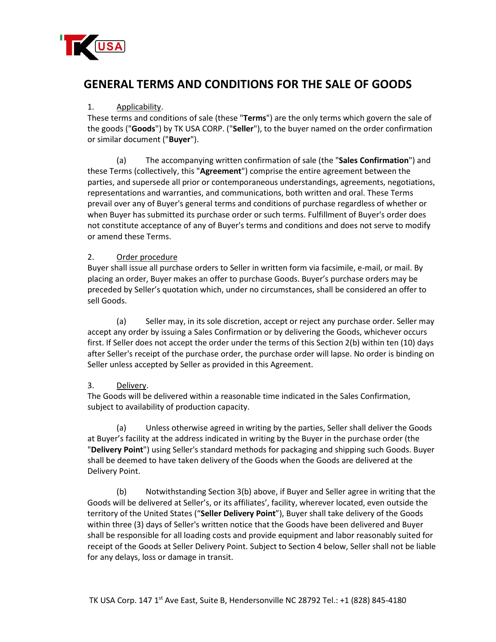

# **GENERAL TERMS AND CONDITIONS FOR THE SALE OF GOODS**

## 1. Applicability.

These terms and conditions of sale (these "**Terms**") are the only terms which govern the sale of the goods ("**Goods**") by TK USA CORP. ("**Seller**"), to the buyer named on the order confirmation or similar document ("**Buyer**").

(a) The accompanying written confirmation of sale (the "**Sales Confirmation**") and these Terms (collectively, this "**Agreement**") comprise the entire agreement between the parties, and supersede all prior or contemporaneous understandings, agreements, negotiations, representations and warranties, and communications, both written and oral. These Terms prevail over any of Buyer's general terms and conditions of purchase regardless of whether or when Buyer has submitted its purchase order or such terms. Fulfillment of Buyer's order does not constitute acceptance of any of Buyer's terms and conditions and does not serve to modify or amend these Terms.

## 2. Order procedure

Buyer shall issue all purchase orders to Seller in written form via facsimile, e-mail, or mail. By placing an order, Buyer makes an offer to purchase Goods. Buyer's purchase orders may be preceded by Seller's quotation which, under no circumstances, shall be considered an offer to sell Goods.

(a) Seller may, in its sole discretion, accept or reject any purchase order. Seller may accept any order by issuing a Sales Confirmation or by delivering the Goods, whichever occurs first. If Seller does not accept the order under the terms of this Section 2(b) within ten (10) days after Seller's receipt of the purchase order, the purchase order will lapse. No order is binding on Seller unless accepted by Seller as provided in this Agreement.

# 3. Delivery.

The Goods will be delivered within a reasonable time indicated in the Sales Confirmation, subject to availability of production capacity.

(a) Unless otherwise agreed in writing by the parties, Seller shall deliver the Goods at Buyer's facility at the address indicated in writing by the Buyer in the purchase order (the "**Delivery Point**") using Seller's standard methods for packaging and shipping such Goods. Buyer shall be deemed to have taken delivery of the Goods when the Goods are delivered at the Delivery Point.

(b) Notwithstanding Section 3(b) above, if Buyer and Seller agree in writing that the Goods will be delivered at Seller's, or its affiliates', facility, wherever located, even outside the territory of the United States ("**Seller Delivery Point**"), Buyer shall take delivery of the Goods within three (3) days of Seller's written notice that the Goods have been delivered and Buyer shall be responsible for all loading costs and provide equipment and labor reasonably suited for receipt of the Goods at Seller Delivery Point. Subject to Section 4 below, Seller shall not be liable for any delays, loss or damage in transit.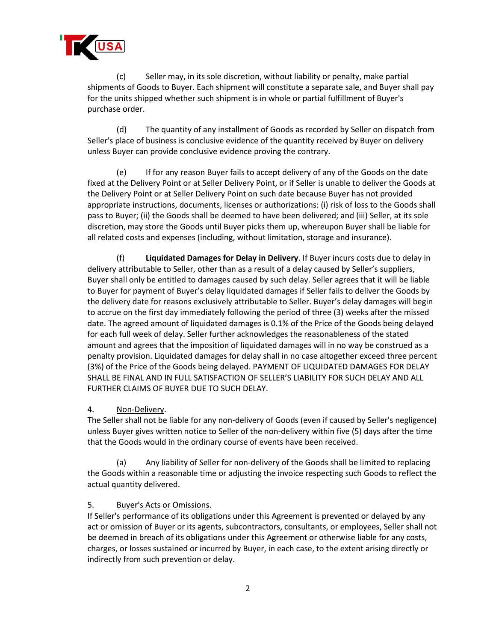

(c) Seller may, in its sole discretion, without liability or penalty, make partial shipments of Goods to Buyer. Each shipment will constitute a separate sale, and Buyer shall pay for the units shipped whether such shipment is in whole or partial fulfillment of Buyer's purchase order.

(d) The quantity of any installment of Goods as recorded by Seller on dispatch from Seller's place of business is conclusive evidence of the quantity received by Buyer on delivery unless Buyer can provide conclusive evidence proving the contrary.

(e) If for any reason Buyer fails to accept delivery of any of the Goods on the date fixed at the Delivery Point or at Seller Delivery Point, or if Seller is unable to deliver the Goods at the Delivery Point or at Seller Delivery Point on such date because Buyer has not provided appropriate instructions, documents, licenses or authorizations: (i) risk of loss to the Goods shall pass to Buyer; (ii) the Goods shall be deemed to have been delivered; and (iii) Seller, at its sole discretion, may store the Goods until Buyer picks them up, whereupon Buyer shall be liable for all related costs and expenses (including, without limitation, storage and insurance).

(f) **Liquidated Damages for Delay in Delivery**. If Buyer incurs costs due to delay in delivery attributable to Seller, other than as a result of a delay caused by Seller's suppliers, Buyer shall only be entitled to damages caused by such delay. Seller agrees that it will be liable to Buyer for payment of Buyer's delay liquidated damages if Seller fails to deliver the Goods by the delivery date for reasons exclusively attributable to Seller. Buyer's delay damages will begin to accrue on the first day immediately following the period of three (3) weeks after the missed date. The agreed amount of liquidated damages is 0.1% of the Price of the Goods being delayed for each full week of delay. Seller further acknowledges the reasonableness of the stated amount and agrees that the imposition of liquidated damages will in no way be construed as a penalty provision. Liquidated damages for delay shall in no case altogether exceed three percent (3%) of the Price of the Goods being delayed. PAYMENT OF LIQUIDATED DAMAGES FOR DELAY SHALL BE FINAL AND IN FULL SATISFACTION OF SELLER'S LIABILITY FOR SUCH DELAY AND ALL FURTHER CLAIMS OF BUYER DUE TO SUCH DELAY.

#### 4. Non-Delivery.

The Seller shall not be liable for any non-delivery of Goods (even if caused by Seller's negligence) unless Buyer gives written notice to Seller of the non-delivery within five (5) days after the time that the Goods would in the ordinary course of events have been received.

(a) Any liability of Seller for non-delivery of the Goods shall be limited to replacing the Goods within a reasonable time or adjusting the invoice respecting such Goods to reflect the actual quantity delivered.

#### 5. Buyer's Acts or Omissions.

If Seller's performance of its obligations under this Agreement is prevented or delayed by any act or omission of Buyer or its agents, subcontractors, consultants, or employees, Seller shall not be deemed in breach of its obligations under this Agreement or otherwise liable for any costs, charges, or losses sustained or incurred by Buyer, in each case, to the extent arising directly or indirectly from such prevention or delay.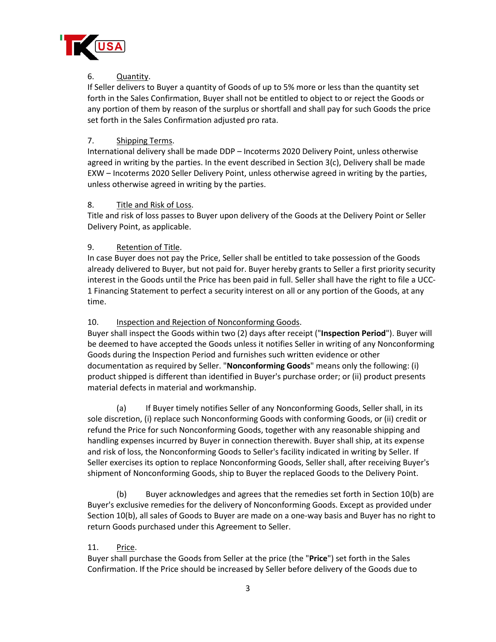

## 6. Quantity.

If Seller delivers to Buyer a quantity of Goods of up to 5% more or less than the quantity set forth in the Sales Confirmation, Buyer shall not be entitled to object to or reject the Goods or any portion of them by reason of the surplus or shortfall and shall pay for such Goods the price set forth in the Sales Confirmation adjusted pro rata.

## 7. Shipping Terms.

International delivery shall be made DDP – Incoterms 2020 Delivery Point, unless otherwise agreed in writing by the parties. In the event described in Section 3(c), Delivery shall be made EXW – Incoterms 2020 Seller Delivery Point, unless otherwise agreed in writing by the parties, unless otherwise agreed in writing by the parties.

#### 8. Title and Risk of Loss.

Title and risk of loss passes to Buyer upon delivery of the Goods at the Delivery Point or Seller Delivery Point, as applicable.

## 9. Retention of Title.

In case Buyer does not pay the Price, Seller shall be entitled to take possession of the Goods already delivered to Buyer, but not paid for. Buyer hereby grants to Seller a first priority security interest in the Goods until the Price has been paid in full. Seller shall have the right to file a UCC-1 Financing Statement to perfect a security interest on all or any portion of the Goods, at any time.

#### 10. Inspection and Rejection of Nonconforming Goods.

Buyer shall inspect the Goods within two (2) days after receipt ("**Inspection Period**"). Buyer will be deemed to have accepted the Goods unless it notifies Seller in writing of any Nonconforming Goods during the Inspection Period and furnishes such written evidence or other documentation as required by Seller. "**Nonconforming Goods**" means only the following: (i) product shipped is different than identified in Buyer's purchase order; or (ii) product presents material defects in material and workmanship.

(a) If Buyer timely notifies Seller of any Nonconforming Goods, Seller shall, in its sole discretion, (i) replace such Nonconforming Goods with conforming Goods, or (ii) credit or refund the Price for such Nonconforming Goods, together with any reasonable shipping and handling expenses incurred by Buyer in connection therewith. Buyer shall ship, at its expense and risk of loss, the Nonconforming Goods to Seller's facility indicated in writing by Seller. If Seller exercises its option to replace Nonconforming Goods, Seller shall, after receiving Buyer's shipment of Nonconforming Goods, ship to Buyer the replaced Goods to the Delivery Point.

(b) Buyer acknowledges and agrees that the remedies set forth in Section 10(b) are Buyer's exclusive remedies for the delivery of Nonconforming Goods. Except as provided under Section 10(b), all sales of Goods to Buyer are made on a one-way basis and Buyer has no right to return Goods purchased under this Agreement to Seller.

#### 11. Price.

Buyer shall purchase the Goods from Seller at the price (the "**Price**") set forth in the Sales Confirmation. If the Price should be increased by Seller before delivery of the Goods due to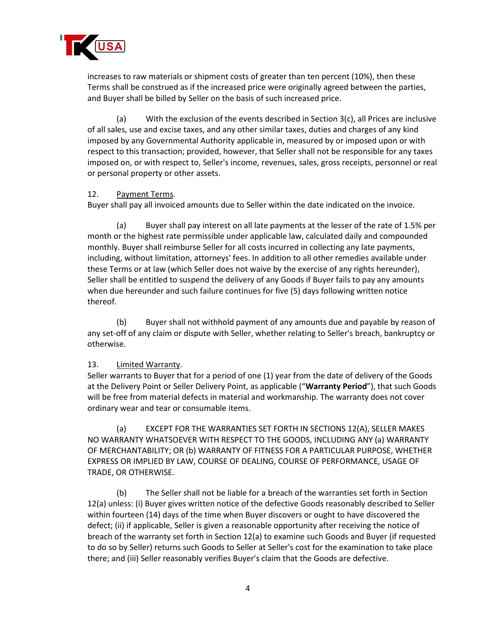

increases to raw materials or shipment costs of greater than ten percent (10%), then these Terms shall be construed as if the increased price were originally agreed between the parties, and Buyer shall be billed by Seller on the basis of such increased price.

(a) With the exclusion of the events described in Section 3(c), all Prices are inclusive of all sales, use and excise taxes, and any other similar taxes, duties and charges of any kind imposed by any Governmental Authority applicable in, measured by or imposed upon or with respect to this transaction; provided, however, that Seller shall not be responsible for any taxes imposed on, or with respect to, Seller's income, revenues, sales, gross receipts, personnel or real or personal property or other assets.

#### 12. Payment Terms.

Buyer shall pay all invoiced amounts due to Seller within the date indicated on the invoice.

(a) Buyer shall pay interest on all late payments at the lesser of the rate of 1.5% per month or the highest rate permissible under applicable law, calculated daily and compounded monthly. Buyer shall reimburse Seller for all costs incurred in collecting any late payments, including, without limitation, attorneys' fees. In addition to all other remedies available under these Terms or at law (which Seller does not waive by the exercise of any rights hereunder), Seller shall be entitled to suspend the delivery of any Goods if Buyer fails to pay any amounts when due hereunder and such failure continues for five (5) days following written notice thereof.

(b) Buyer shall not withhold payment of any amounts due and payable by reason of any set-off of any claim or dispute with Seller, whether relating to Seller's breach, bankruptcy or otherwise.

#### 13. Limited Warranty.

Seller warrants to Buyer that for a period of one (1) year from the date of delivery of the Goods at the Delivery Point or Seller Delivery Point, as applicable ("**Warranty Period**"), that such Goods will be free from material defects in material and workmanship. The warranty does not cover ordinary wear and tear or consumable items.

(a) EXCEPT FOR THE WARRANTIES SET FORTH IN SECTIONS 12(A), SELLER MAKES NO WARRANTY WHATSOEVER WITH RESPECT TO THE GOODS, INCLUDING ANY (a) WARRANTY OF MERCHANTABILITY; OR (b) WARRANTY OF FITNESS FOR A PARTICULAR PURPOSE, WHETHER EXPRESS OR IMPLIED BY LAW, COURSE OF DEALING, COURSE OF PERFORMANCE, USAGE OF TRADE, OR OTHERWISE.

(b) The Seller shall not be liable for a breach of the warranties set forth in Section 12(a) unless: (i) Buyer gives written notice of the defective Goods reasonably described to Seller within fourteen (14) days of the time when Buyer discovers or ought to have discovered the defect; (ii) if applicable, Seller is given a reasonable opportunity after receiving the notice of breach of the warranty set forth in Section 12(a) to examine such Goods and Buyer (if requested to do so by Seller) returns such Goods to Seller at Seller's cost for the examination to take place there; and (iii) Seller reasonably verifies Buyer's claim that the Goods are defective.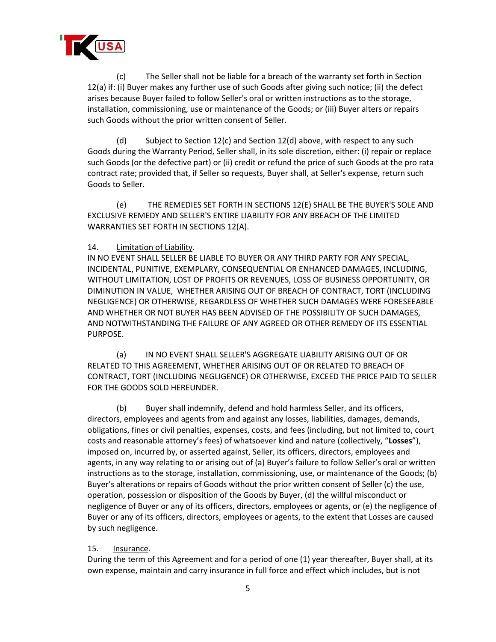

(c) The Seller shall not be liable for a breach of the warranty set forth in Section 12(a) if: (i) Buyer makes any further use of such Goods after giving such notice; (ii) the defect arises because Buyer failed to follow Seller's oral or written instructions as to the storage, installation, commissioning, use or maintenance of the Goods; or (iii) Buyer alters or repairs such Goods without the prior written consent of Seller.

(d) Subject to Section 12(c) and Section 12(d) above, with respect to any such Goods during the Warranty Period, Seller shall, in its sole discretion, either: (i) repair or replace such Goods (or the defective part) or (ii) credit or refund the price of such Goods at the pro rata contract rate; provided that, if Seller so requests, Buyer shall, at Seller's expense, return such Goods to Seller.

(e) THE REMEDIES SET FORTH IN SECTIONS 12(E) SHALL BE THE BUYER'S SOLE AND EXCLUSIVE REMEDY AND SELLER'S ENTIRE LIABILITY FOR ANY BREACH OF THE LIMITED WARRANTIES SET FORTH IN SECTIONS 12(A).

#### 14. Limitation of Liability.

IN NO EVENT SHALL SELLER BE LIABLE TO BUYER OR ANY THIRD PARTY FOR ANY SPECIAL, INCIDENTAL, PUNITIVE, EXEMPLARY, CONSEQUENTIAL OR ENHANCED DAMAGES, INCLUDING, WITHOUT LIMITATION, LOST OF PROFITS OR REVENUES, LOSS OF BUSINESS OPPORTUNITY, OR DIMINUTION IN VALUE, WHETHER ARISING OUT OF BREACH OF CONTRACT, TORT (INCLUDING NEGLIGENCE) OR OTHERWISE, REGARDLESS OF WHETHER SUCH DAMAGES WERE FORESEEABLE AND WHETHER OR NOT BUYER HAS BEEN ADVISED OF THE POSSIBILITY OF SUCH DAMAGES, AND NOTWITHSTANDING THE FAILURE OF ANY AGREED OR OTHER REMEDY OF ITS ESSENTIAL PURPOSE.

(a) IN NO EVENT SHALL SELLER'S AGGREGATE LIABILITY ARISING OUT OF OR RELATED TO THIS AGREEMENT, WHETHER ARISING OUT OF OR RELATED TO BREACH OF CONTRACT, TORT (INCLUDING NEGLIGENCE) OR OTHERWISE, EXCEED THE PRICE PAID TO SELLER FOR THE GOODS SOLD HEREUNDER.

(b) Buyer shall indemnify, defend and hold harmless Seller, and its officers, directors, employees and agents from and against any losses, liabilities, damages, demands, obligations, fines or civil penalties, expenses, costs, and fees (including, but not limited to, court costs and reasonable attorney's fees) of whatsoever kind and nature (collectively, "**Losses**"), imposed on, incurred by, or asserted against, Seller, its officers, directors, employees and agents, in any way relating to or arising out of (a) Buyer's failure to follow Seller's oral or written instructions as to the storage, installation, commissioning, use, or maintenance of the Goods; (b) Buyer's alterations or repairs of Goods without the prior written consent of Seller (c) the use, operation, possession or disposition of the Goods by Buyer, (d) the willful misconduct or negligence of Buyer or any of its officers, directors, employees or agents, or (e) the negligence of Buyer or any of its officers, directors, employees or agents, to the extent that Losses are caused by such negligence.

#### 15. **Insurance**.

During the term of this Agreement and for a period of one (1) year thereafter, Buyer shall, at its own expense, maintain and carry insurance in full force and effect which includes, but is not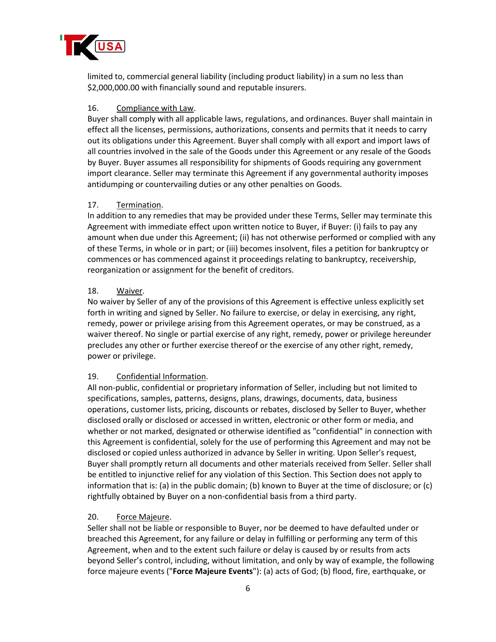

limited to, commercial general liability (including product liability) in a sum no less than \$2,000,000.00 with financially sound and reputable insurers.

#### 16. Compliance with Law.

Buyer shall comply with all applicable laws, regulations, and ordinances. Buyer shall maintain in effect all the licenses, permissions, authorizations, consents and permits that it needs to carry out its obligations under this Agreement. Buyer shall comply with all export and import laws of all countries involved in the sale of the Goods under this Agreement or any resale of the Goods by Buyer. Buyer assumes all responsibility for shipments of Goods requiring any government import clearance. Seller may terminate this Agreement if any governmental authority imposes antidumping or countervailing duties or any other penalties on Goods.

## 17. Termination.

In addition to any remedies that may be provided under these Terms, Seller may terminate this Agreement with immediate effect upon written notice to Buyer, if Buyer: (i) fails to pay any amount when due under this Agreement; (ii) has not otherwise performed or complied with any of these Terms, in whole or in part; or (iii) becomes insolvent, files a petition for bankruptcy or commences or has commenced against it proceedings relating to bankruptcy, receivership, reorganization or assignment for the benefit of creditors.

#### 18. Waiver.

No waiver by Seller of any of the provisions of this Agreement is effective unless explicitly set forth in writing and signed by Seller. No failure to exercise, or delay in exercising, any right, remedy, power or privilege arising from this Agreement operates, or may be construed, as a waiver thereof. No single or partial exercise of any right, remedy, power or privilege hereunder precludes any other or further exercise thereof or the exercise of any other right, remedy, power or privilege.

# 19. Confidential Information.

All non-public, confidential or proprietary information of Seller, including but not limited to specifications, samples, patterns, designs, plans, drawings, documents, data, business operations, customer lists, pricing, discounts or rebates, disclosed by Seller to Buyer, whether disclosed orally or disclosed or accessed in written, electronic or other form or media, and whether or not marked, designated or otherwise identified as "confidential" in connection with this Agreement is confidential, solely for the use of performing this Agreement and may not be disclosed or copied unless authorized in advance by Seller in writing. Upon Seller's request, Buyer shall promptly return all documents and other materials received from Seller. Seller shall be entitled to injunctive relief for any violation of this Section. This Section does not apply to information that is: (a) in the public domain; (b) known to Buyer at the time of disclosure; or (c) rightfully obtained by Buyer on a non-confidential basis from a third party.

#### 20. Force Majeure.

Seller shall not be liable or responsible to Buyer, nor be deemed to have defaulted under or breached this Agreement, for any failure or delay in fulfilling or performing any term of this Agreement, when and to the extent such failure or delay is caused by or results from acts beyond Seller's control, including, without limitation, and only by way of example, the following force majeure events ("**Force Majeure Events**"): (a) acts of God; (b) flood, fire, earthquake, or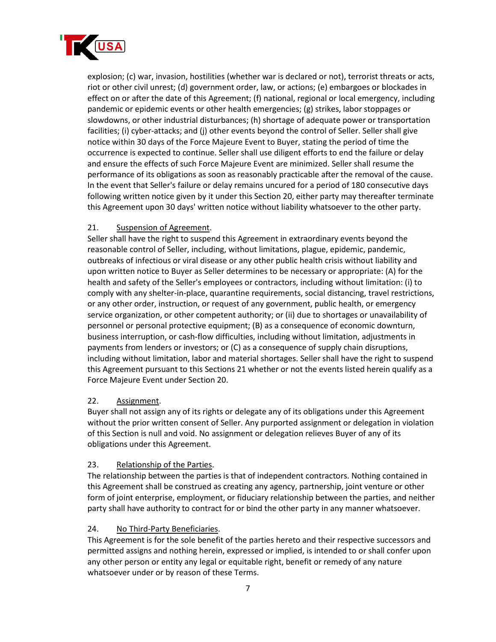

explosion; (c) war, invasion, hostilities (whether war is declared or not), terrorist threats or acts, riot or other civil unrest; (d) government order, law, or actions; (e) embargoes or blockades in effect on or after the date of this Agreement; (f) national, regional or local emergency, including pandemic or epidemic events or other health emergencies; (g) strikes, labor stoppages or slowdowns, or other industrial disturbances; (h) shortage of adequate power or transportation facilities; (i) cyber-attacks; and (j) other events beyond the control of Seller. Seller shall give notice within 30 days of the Force Majeure Event to Buyer, stating the period of time the occurrence is expected to continue. Seller shall use diligent efforts to end the failure or delay and ensure the effects of such Force Majeure Event are minimized. Seller shall resume the performance of its obligations as soon as reasonably practicable after the removal of the cause. In the event that Seller's failure or delay remains uncured for a period of 180 consecutive days following written notice given by it under this Section 20, either party may thereafter terminate this Agreement upon 30 days' written notice without liability whatsoever to the other party.

## 21. Suspension of Agreement.

Seller shall have the right to suspend this Agreement in extraordinary events beyond the reasonable control of Seller, including, without limitations, plague, epidemic, pandemic, outbreaks of infectious or viral disease or any other public health crisis without liability and upon written notice to Buyer as Seller determines to be necessary or appropriate: (A) for the health and safety of the Seller's employees or contractors, including without limitation: (i) to comply with any shelter-in-place, quarantine requirements, social distancing, travel restrictions, or any other order, instruction, or request of any government, public health, or emergency service organization, or other competent authority; or (ii) due to shortages or unavailability of personnel or personal protective equipment; (B) as a consequence of economic downturn, business interruption, or cash-flow difficulties, including without limitation, adjustments in payments from lenders or investors; or (C) as a consequence of supply chain disruptions, including without limitation, labor and material shortages. Seller shall have the right to suspend this Agreement pursuant to this Sections 21 whether or not the events listed herein qualify as a Force Majeure Event under Section 20.

#### 22. Assignment.

Buyer shall not assign any of its rights or delegate any of its obligations under this Agreement without the prior written consent of Seller. Any purported assignment or delegation in violation of this Section is null and void. No assignment or delegation relieves Buyer of any of its obligations under this Agreement.

#### 23. Relationship of the Parties.

The relationship between the parties is that of independent contractors. Nothing contained in this Agreement shall be construed as creating any agency, partnership, joint venture or other form of joint enterprise, employment, or fiduciary relationship between the parties, and neither party shall have authority to contract for or bind the other party in any manner whatsoever.

#### 24. No Third-Party Beneficiaries.

This Agreement is for the sole benefit of the parties hereto and their respective successors and permitted assigns and nothing herein, expressed or implied, is intended to or shall confer upon any other person or entity any legal or equitable right, benefit or remedy of any nature whatsoever under or by reason of these Terms.